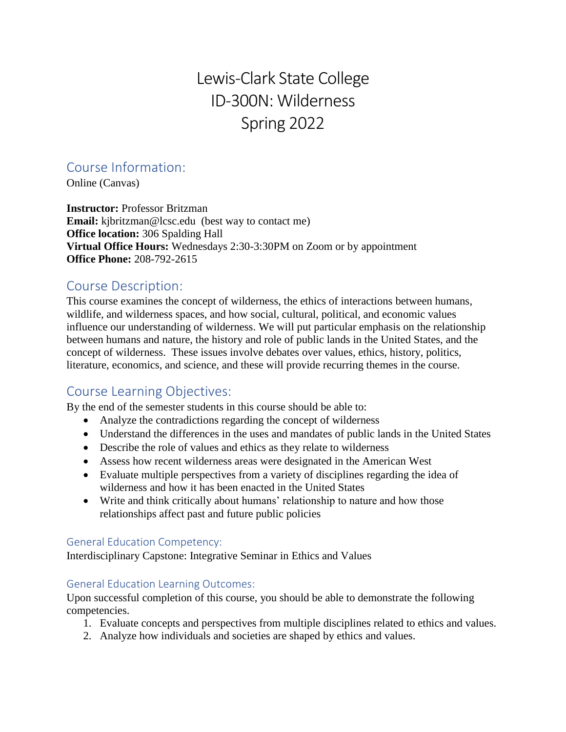# Lewis-Clark State College ID-300N: Wilderness Spring 2022

## Course Information:

Online (Canvas)

**Instructor:** Professor Britzman **Email:** kjbritzman@lcsc.edu (best way to contact me) **Office location:** 306 Spalding Hall **Virtual Office Hours:** Wednesdays 2:30-3:30PM on Zoom or by appointment **Office Phone:** 208-792-2615

## Course Description:

This course examines the concept of wilderness, the ethics of interactions between humans, wildlife, and wilderness spaces, and how social, cultural, political, and economic values influence our understanding of wilderness. We will put particular emphasis on the relationship between humans and nature, the history and role of public lands in the United States, and the concept of wilderness. These issues involve debates over values, ethics, history, politics, literature, economics, and science, and these will provide recurring themes in the course.

## Course Learning Objectives:

By the end of the semester students in this course should be able to:

- Analyze the contradictions regarding the concept of wilderness
- Understand the differences in the uses and mandates of public lands in the United States
- Describe the role of values and ethics as they relate to wilderness
- Assess how recent wilderness areas were designated in the American West
- Evaluate multiple perspectives from a variety of disciplines regarding the idea of wilderness and how it has been enacted in the United States
- Write and think critically about humans' relationship to nature and how those relationships affect past and future public policies

#### General Education Competency:

Interdisciplinary Capstone: Integrative Seminar in Ethics and Values

#### General Education Learning Outcomes:

Upon successful completion of this course, you should be able to demonstrate the following competencies.

- 1. Evaluate concepts and perspectives from multiple disciplines related to ethics and values.
- 2. Analyze how individuals and societies are shaped by ethics and values.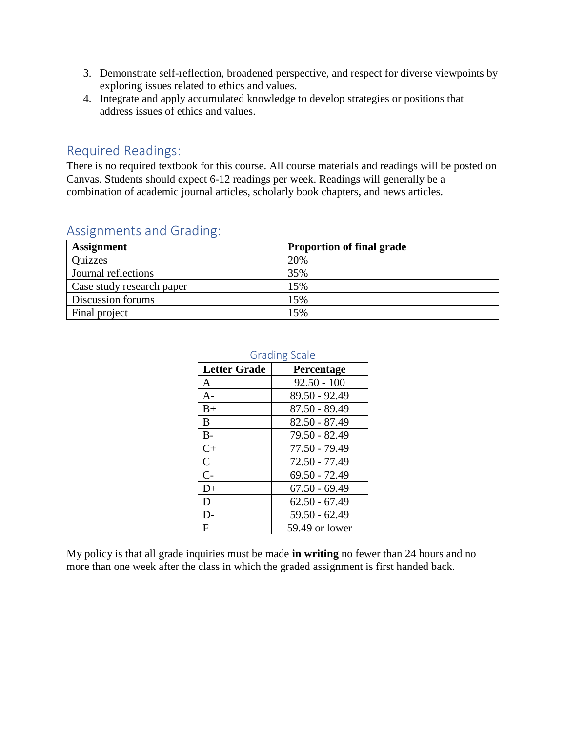- 3. Demonstrate self-reflection, broadened perspective, and respect for diverse viewpoints by exploring issues related to ethics and values.
- 4. Integrate and apply accumulated knowledge to develop strategies or positions that address issues of ethics and values.

## Required Readings:

There is no required textbook for this course. All course materials and readings will be posted on Canvas. Students should expect 6-12 readings per week. Readings will generally be a combination of academic journal articles, scholarly book chapters, and news articles.

| <b>Assignment</b>         | <b>Proportion of final grade</b> |  |
|---------------------------|----------------------------------|--|
| Quizzes                   | 20%                              |  |
| Journal reflections       | 35%                              |  |
| Case study research paper | 15%                              |  |
| Discussion forums         | 15%                              |  |
| Final project             | 15%                              |  |

## Assignments and Grading:

| <b>Grading Scale</b> |                 |
|----------------------|-----------------|
| <b>Letter Grade</b>  | Percentage      |
| A                    | $92.50 - 100$   |
| $A-$                 | 89.50 - 92.49   |
| $B+$                 | 87.50 - 89.49   |
| B                    | $82.50 - 87.49$ |
| $B-$                 | 79.50 - 82.49   |
| $C+$                 | 77.50 - 79.49   |
| $\mathsf{C}$         | 72.50 - 77.49   |
| $C-$                 | $69.50 - 72.49$ |
| $D+$                 | $67.50 - 69.49$ |
| D                    | $62.50 - 67.49$ |
| $D-$                 | $59.50 - 62.49$ |
| F                    | 59.49 or lower  |

My policy is that all grade inquiries must be made **in writing** no fewer than 24 hours and no more than one week after the class in which the graded assignment is first handed back.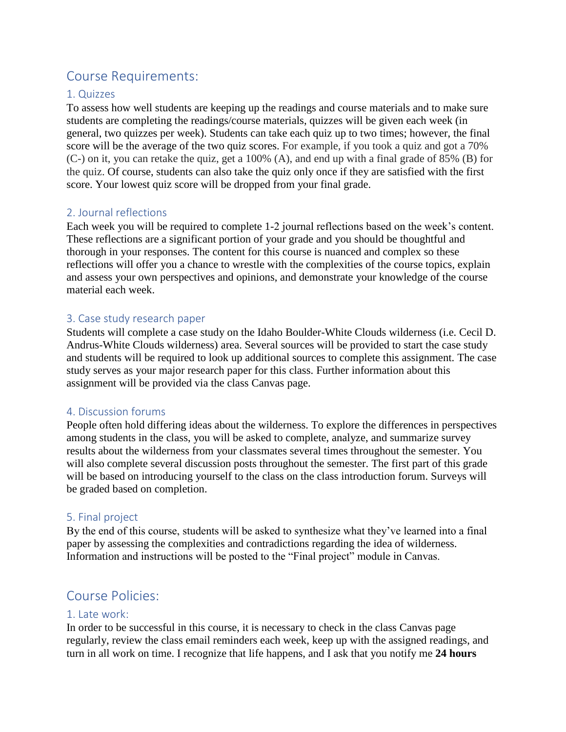## Course Requirements:

### 1. Quizzes

To assess how well students are keeping up the readings and course materials and to make sure students are completing the readings/course materials, quizzes will be given each week (in general, two quizzes per week). Students can take each quiz up to two times; however, the final score will be the average of the two quiz scores. For example, if you took a quiz and got a 70% (C-) on it, you can retake the quiz, get a 100% (A), and end up with a final grade of 85% (B) for the quiz. Of course, students can also take the quiz only once if they are satisfied with the first score. Your lowest quiz score will be dropped from your final grade.

### 2. Journal reflections

Each week you will be required to complete 1-2 journal reflections based on the week's content. These reflections are a significant portion of your grade and you should be thoughtful and thorough in your responses. The content for this course is nuanced and complex so these reflections will offer you a chance to wrestle with the complexities of the course topics, explain and assess your own perspectives and opinions, and demonstrate your knowledge of the course material each week.

#### 3. Case study research paper

Students will complete a case study on the Idaho Boulder-White Clouds wilderness (i.e. Cecil D. Andrus-White Clouds wilderness) area. Several sources will be provided to start the case study and students will be required to look up additional sources to complete this assignment. The case study serves as your major research paper for this class. Further information about this assignment will be provided via the class Canvas page.

#### 4. Discussion forums

People often hold differing ideas about the wilderness. To explore the differences in perspectives among students in the class, you will be asked to complete, analyze, and summarize survey results about the wilderness from your classmates several times throughout the semester. You will also complete several discussion posts throughout the semester. The first part of this grade will be based on introducing yourself to the class on the class introduction forum. Surveys will be graded based on completion.

#### 5. Final project

By the end of this course, students will be asked to synthesize what they've learned into a final paper by assessing the complexities and contradictions regarding the idea of wilderness. Information and instructions will be posted to the "Final project" module in Canvas.

## Course Policies:

#### 1. Late work:

In order to be successful in this course, it is necessary to check in the class Canvas page regularly, review the class email reminders each week, keep up with the assigned readings, and turn in all work on time. I recognize that life happens, and I ask that you notify me **24 hours**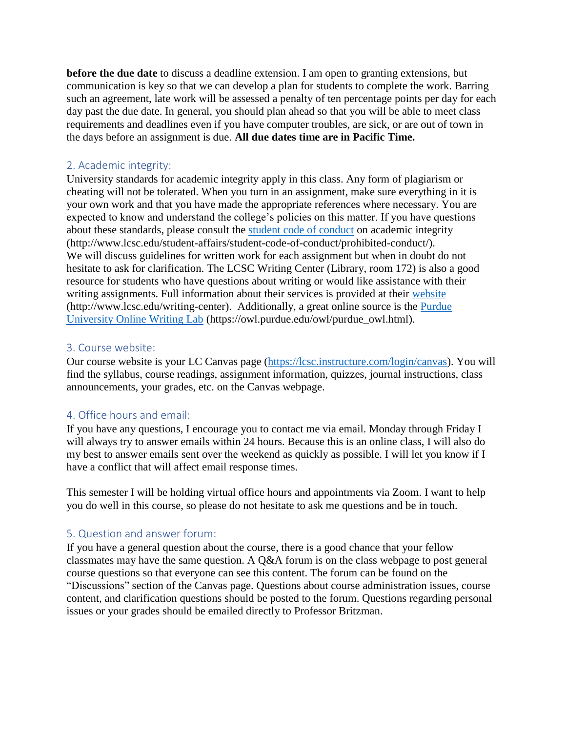**before the due date** to discuss a deadline extension. I am open to granting extensions, but communication is key so that we can develop a plan for students to complete the work. Barring such an agreement, late work will be assessed a penalty of ten percentage points per day for each day past the due date. In general, you should plan ahead so that you will be able to meet class requirements and deadlines even if you have computer troubles, are sick, or are out of town in the days before an assignment is due. **All due dates time are in Pacific Time.**

#### 2. Academic integrity:

University standards for academic integrity apply in this class. Any form of plagiarism or cheating will not be tolerated. When you turn in an assignment, make sure everything in it is your own work and that you have made the appropriate references where necessary. You are expected to know and understand the college's policies on this matter. If you have questions about these standards, please consult the [student code of conduct](http://www.lcsc.edu/student-affairs/student-code-of-conduct/prohibited-conduct/) on academic integrity (http://www.lcsc.edu/student-affairs/student-code-of-conduct/prohibited-conduct/). We will discuss guidelines for written work for each assignment but when in doubt do not hesitate to ask for clarification. The LCSC Writing Center (Library, room 172) is also a good resource for students who have questions about writing or would like assistance with their writing assignments. Full information about their services is provided at their [website](http://www.lcsc.edu/writing-center) (http://www.lcsc.edu/writing-center). Additionally, a great online source is the [Purdue](https://owl.purdue.edu/owl/purdue_owl.html)  [University Online Writing Lab](https://owl.purdue.edu/owl/purdue_owl.html) (https://owl.purdue.edu/owl/purdue\_owl.html).

#### 3. Course website:

Our course website is your LC Canvas page [\(https://lcsc.instructure.com/login/canvas\)](https://lcsc.instructure.com/login/canvas). You will find the syllabus, course readings, assignment information, quizzes, journal instructions, class announcements, your grades, etc. on the Canvas webpage.

#### 4. Office hours and email:

If you have any questions, I encourage you to contact me via email. Monday through Friday I will always try to answer emails within 24 hours. Because this is an online class, I will also do my best to answer emails sent over the weekend as quickly as possible. I will let you know if I have a conflict that will affect email response times.

This semester I will be holding virtual office hours and appointments via Zoom. I want to help you do well in this course, so please do not hesitate to ask me questions and be in touch.

#### 5. Question and answer forum:

If you have a general question about the course, there is a good chance that your fellow classmates may have the same question. A Q&A forum is on the class webpage to post general course questions so that everyone can see this content. The forum can be found on the "Discussions" section of the Canvas page. Questions about course administration issues, course content, and clarification questions should be posted to the forum. Questions regarding personal issues or your grades should be emailed directly to Professor Britzman.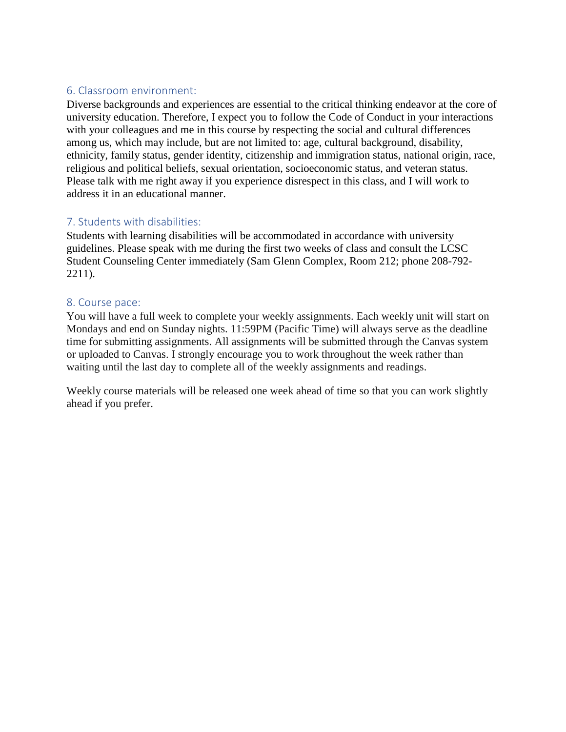### 6. Classroom environment:

Diverse backgrounds and experiences are essential to the critical thinking endeavor at the core of university education. Therefore, I expect you to follow the Code of Conduct in your interactions with your colleagues and me in this course by respecting the social and cultural differences among us, which may include, but are not limited to: age, cultural background, disability, ethnicity, family status, gender identity, citizenship and immigration status, national origin, race, religious and political beliefs, sexual orientation, socioeconomic status, and veteran status. Please talk with me right away if you experience disrespect in this class, and I will work to address it in an educational manner.

#### 7. Students with disabilities:

Students with learning disabilities will be accommodated in accordance with university guidelines. Please speak with me during the first two weeks of class and consult the LCSC Student Counseling Center immediately (Sam Glenn Complex, Room 212; phone 208-792- 2211).

#### 8. Course pace:

You will have a full week to complete your weekly assignments. Each weekly unit will start on Mondays and end on Sunday nights. 11:59PM (Pacific Time) will always serve as the deadline time for submitting assignments. All assignments will be submitted through the Canvas system or uploaded to Canvas. I strongly encourage you to work throughout the week rather than waiting until the last day to complete all of the weekly assignments and readings.

Weekly course materials will be released one week ahead of time so that you can work slightly ahead if you prefer.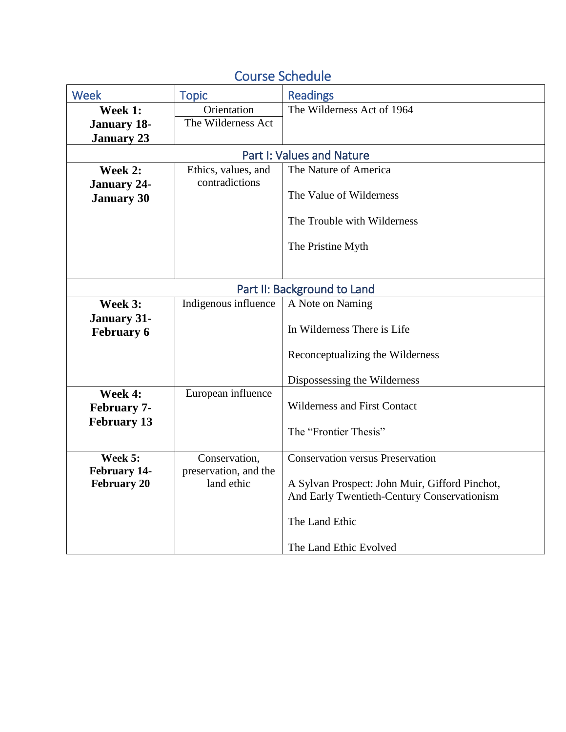| <b>Week</b>                 | <b>Topic</b>                     | <b>Readings</b>                                |  |
|-----------------------------|----------------------------------|------------------------------------------------|--|
| Week 1:                     | Orientation                      | The Wilderness Act of 1964                     |  |
| <b>January 18-</b>          | The Wilderness Act               |                                                |  |
| <b>January 23</b>           |                                  |                                                |  |
|                             | <b>Part I: Values and Nature</b> |                                                |  |
| Week 2:                     | Ethics, values, and              | The Nature of America                          |  |
| <b>January 24-</b>          | contradictions                   |                                                |  |
| <b>January 30</b>           |                                  | The Value of Wilderness                        |  |
|                             |                                  |                                                |  |
|                             |                                  | The Trouble with Wilderness                    |  |
|                             |                                  | The Pristine Myth                              |  |
|                             |                                  |                                                |  |
|                             |                                  |                                                |  |
| Part II: Background to Land |                                  |                                                |  |
| Week 3:                     | Indigenous influence             | A Note on Naming                               |  |
| <b>January 31-</b>          |                                  |                                                |  |
| <b>February 6</b>           |                                  | In Wilderness There is Life                    |  |
|                             |                                  |                                                |  |
|                             |                                  | Reconceptualizing the Wilderness               |  |
|                             |                                  | Dispossessing the Wilderness                   |  |
| Week 4:                     | European influence               |                                                |  |
| <b>February 7-</b>          |                                  | <b>Wilderness and First Contact</b>            |  |
| <b>February 13</b>          |                                  |                                                |  |
|                             |                                  | The "Frontier Thesis"                          |  |
| Week 5:                     | Conservation,                    | <b>Conservation versus Preservation</b>        |  |
| February 14-                | preservation, and the            |                                                |  |
| <b>February 20</b>          | land ethic                       | A Sylvan Prospect: John Muir, Gifford Pinchot, |  |
|                             |                                  | And Early Twentieth-Century Conservationism    |  |
|                             |                                  |                                                |  |
|                             |                                  | The Land Ethic                                 |  |
|                             |                                  | The Land Ethic Evolved                         |  |
|                             |                                  |                                                |  |

# Course Schedule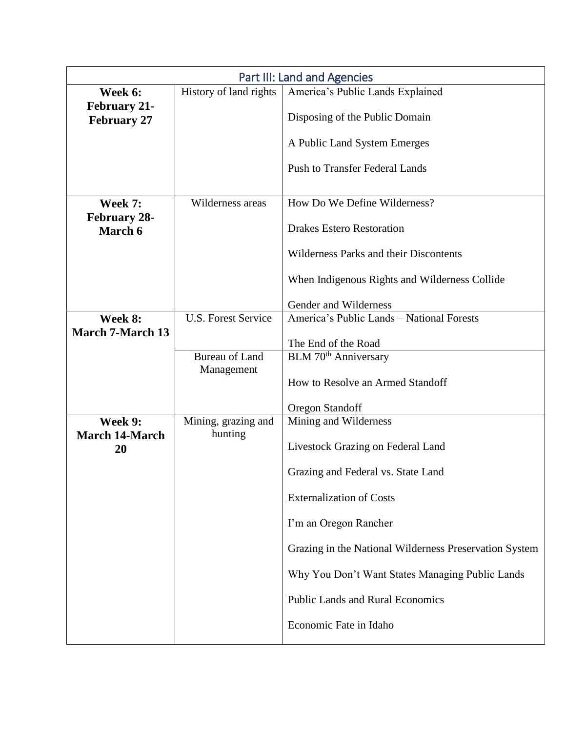| Part III: Land and Agencies               |                            |                                                        |
|-------------------------------------------|----------------------------|--------------------------------------------------------|
| Week 6:                                   | History of land rights     | America's Public Lands Explained                       |
| <b>February 21-</b><br><b>February 27</b> |                            | Disposing of the Public Domain                         |
|                                           |                            | A Public Land System Emerges                           |
|                                           |                            | <b>Push to Transfer Federal Lands</b>                  |
| Week 7:<br><b>February 28-</b>            | Wilderness areas           | How Do We Define Wilderness?                           |
| March 6                                   |                            | <b>Drakes Estero Restoration</b>                       |
|                                           |                            | Wilderness Parks and their Discontents                 |
|                                           |                            | When Indigenous Rights and Wilderness Collide          |
|                                           |                            | Gender and Wilderness                                  |
| Week 8:                                   | <b>U.S. Forest Service</b> | America's Public Lands - National Forests              |
| <b>March 7-March 13</b>                   |                            | The End of the Road                                    |
|                                           | <b>Bureau of Land</b>      | BLM 70 <sup>th</sup> Anniversary                       |
|                                           | Management                 |                                                        |
|                                           |                            | How to Resolve an Armed Standoff                       |
|                                           |                            | <b>Oregon Standoff</b>                                 |
| Week 9:                                   | Mining, grazing and        | Mining and Wilderness                                  |
| <b>March 14-March</b><br>20               | hunting                    | Livestock Grazing on Federal Land                      |
|                                           |                            | Grazing and Federal vs. State Land                     |
|                                           |                            | <b>Externalization of Costs</b>                        |
|                                           |                            | I'm an Oregon Rancher                                  |
|                                           |                            | Grazing in the National Wilderness Preservation System |
|                                           |                            | Why You Don't Want States Managing Public Lands        |
|                                           |                            | <b>Public Lands and Rural Economics</b>                |
|                                           |                            | Economic Fate in Idaho                                 |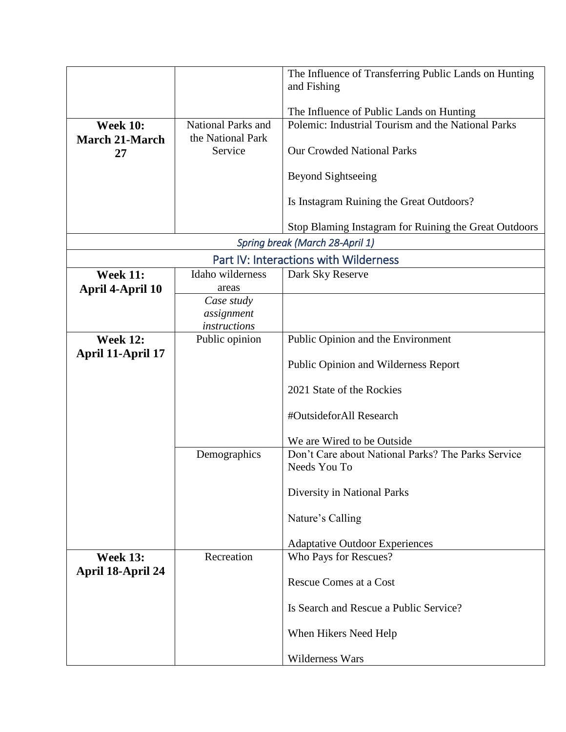|                                          |                                                | The Influence of Transferring Public Lands on Hunting<br>and Fishing |
|------------------------------------------|------------------------------------------------|----------------------------------------------------------------------|
|                                          |                                                |                                                                      |
|                                          |                                                | The Influence of Public Lands on Hunting                             |
| <b>Week 10:</b><br><b>March 21-March</b> | <b>National Parks and</b><br>the National Park | Polemic: Industrial Tourism and the National Parks                   |
| 27                                       | Service                                        | <b>Our Crowded National Parks</b>                                    |
|                                          |                                                | <b>Beyond Sightseeing</b>                                            |
|                                          |                                                | Is Instagram Ruining the Great Outdoors?                             |
|                                          |                                                | Stop Blaming Instagram for Ruining the Great Outdoors                |
| Spring break (March 28-April 1)          |                                                |                                                                      |
| Part IV: Interactions with Wilderness    |                                                |                                                                      |
| <b>Week 11:</b>                          | Idaho wilderness                               | Dark Sky Reserve                                                     |
| April 4-April 10                         | areas<br>Case study                            |                                                                      |
|                                          | assignment                                     |                                                                      |
|                                          | <i>instructions</i>                            |                                                                      |
| <b>Week 12:</b>                          | Public opinion                                 | Public Opinion and the Environment                                   |
| April 11-April 17                        |                                                | <b>Public Opinion and Wilderness Report</b>                          |
|                                          |                                                | 2021 State of the Rockies                                            |
|                                          |                                                | #OutsideforAll Research                                              |
|                                          |                                                | We are Wired to be Outside                                           |
|                                          | Demographics                                   | Don't Care about National Parks? The Parks Service<br>Needs You To   |
|                                          |                                                | Diversity in National Parks                                          |
|                                          |                                                | Nature's Calling                                                     |
|                                          |                                                | <b>Adaptative Outdoor Experiences</b>                                |
| <b>Week 13:</b>                          | Recreation                                     | Who Pays for Rescues?                                                |
| April 18-April 24                        |                                                |                                                                      |
|                                          |                                                | Rescue Comes at a Cost                                               |
|                                          |                                                | Is Search and Rescue a Public Service?                               |
|                                          |                                                | When Hikers Need Help                                                |
|                                          |                                                | Wilderness Wars                                                      |